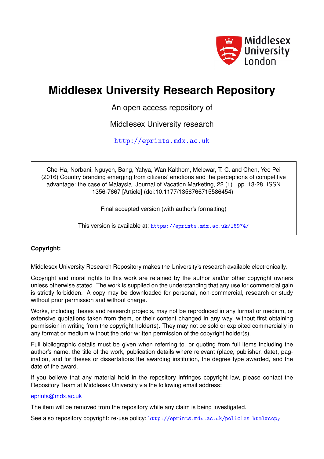

# **Middlesex University Research Repository**

An open access repository of

Middlesex University research

<http://eprints.mdx.ac.uk>

Che-Ha, Norbani, Nguyen, Bang, Yahya, Wan Kalthom, Melewar, T. C. and Chen, Yeo Pei (2016) Country branding emerging from citizens' emotions and the perceptions of competitive advantage: the case of Malaysia. Journal of Vacation Marketing, 22 (1) . pp. 13-28. ISSN 1356-7667 [Article] (doi:10.1177/1356766715586454)

Final accepted version (with author's formatting)

This version is available at: <https://eprints.mdx.ac.uk/18974/>

## **Copyright:**

Middlesex University Research Repository makes the University's research available electronically.

Copyright and moral rights to this work are retained by the author and/or other copyright owners unless otherwise stated. The work is supplied on the understanding that any use for commercial gain is strictly forbidden. A copy may be downloaded for personal, non-commercial, research or study without prior permission and without charge.

Works, including theses and research projects, may not be reproduced in any format or medium, or extensive quotations taken from them, or their content changed in any way, without first obtaining permission in writing from the copyright holder(s). They may not be sold or exploited commercially in any format or medium without the prior written permission of the copyright holder(s).

Full bibliographic details must be given when referring to, or quoting from full items including the author's name, the title of the work, publication details where relevant (place, publisher, date), pagination, and for theses or dissertations the awarding institution, the degree type awarded, and the date of the award.

If you believe that any material held in the repository infringes copyright law, please contact the Repository Team at Middlesex University via the following email address:

## [eprints@mdx.ac.uk](mailto:eprints@mdx.ac.uk)

The item will be removed from the repository while any claim is being investigated.

See also repository copyright: re-use policy: <http://eprints.mdx.ac.uk/policies.html#copy>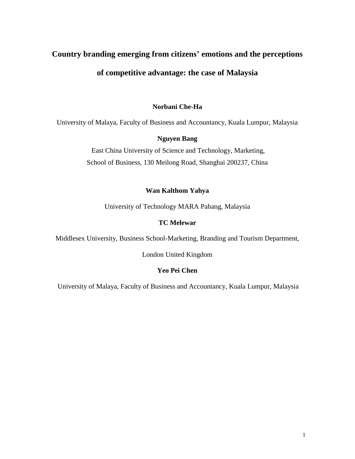# **Country branding emerging from citizens' emotions and the perceptions**

# **of competitive advantage: the case of Malaysia**

## **Norbani Che-Ha**

University of Malaya, Faculty of Business and Accountancy, Kuala Lumpur, Malaysia

# **Nguyen Bang**

East China University of Science and Technology, Marketing, School of Business, 130 Meilong Road, Shanghai 200237, China

# **Wan Kalthom Yahya**

University of Technology MARA Pahang, Malaysia

# **TC Melewar**

Middlesex University, Business School-Marketing, Branding and Tourism Department,

London United Kingdom

# **Yeo Pei Chen**

University of Malaya, Faculty of Business and Accountancy, Kuala Lumpur, Malaysia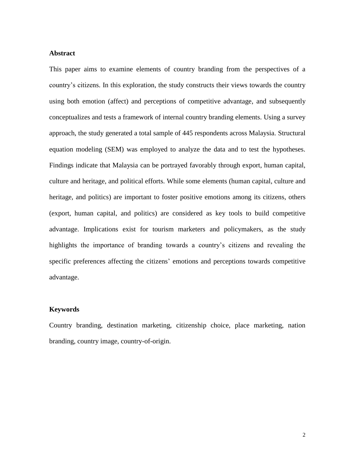## **Abstract**

This paper aims to examine elements of country branding from the perspectives of a country's citizens. In this exploration, the study constructs their views towards the country using both emotion (affect) and perceptions of competitive advantage, and subsequently conceptualizes and tests a framework of internal country branding elements. Using a survey approach, the study generated a total sample of 445 respondents across Malaysia. Structural equation modeling (SEM) was employed to analyze the data and to test the hypotheses. Findings indicate that Malaysia can be portrayed favorably through export, human capital, culture and heritage, and political efforts. While some elements (human capital, culture and heritage, and politics) are important to foster positive emotions among its citizens, others (export, human capital, and politics) are considered as key tools to build competitive advantage. Implications exist for tourism marketers and policymakers, as the study highlights the importance of branding towards a country's citizens and revealing the specific preferences affecting the citizens' emotions and perceptions towards competitive advantage.

### **Keywords**

Country branding, destination marketing, citizenship choice, place marketing, nation branding, country image, country-of-origin.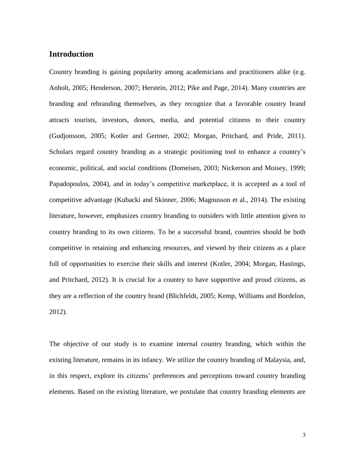## **Introduction**

Country branding is gaining popularity among academicians and practitioners alike (e.g. Anholt, 2005; Henderson, 2007; Herstein, 2012; Pike and Page, 2014). Many countries are branding and rebranding themselves, as they recognize that a favorable country brand attracts tourists, investors, donors, media, and potential citizens to their country (Gudjonsson, 2005; Kotler and Gertner, 2002; Morgan, Pritchard, and Pride, 2011). Scholars regard country branding as a strategic positioning tool to enhance a country's economic, political, and social conditions (Domeisen, 2003; Nickerson and Moisey, 1999; Papadopoulos, 2004), and in today's competitive marketplace, it is accepted as a tool of competitive advantage (Kubacki and Skinner, 2006; Magnusson et al., 2014). The existing literature, however, emphasizes country branding to outsiders with little attention given to country branding to its own citizens. To be a successful brand, countries should be both competitive in retaining and enhancing resources, and viewed by their citizens as a place full of opportunities to exercise their skills and interest (Kotler, 2004; Morgan, Hastings, and Pritchard, 2012). It is crucial for a country to have supportive and proud citizens, as they are a reflection of the country brand (Blichfeldt, 2005; Kemp, Williams and Bordelon, 2012).

The objective of our study is to examine internal country branding, which within the existing literature, remains in its infancy. We utilize the country branding of Malaysia, and, in this respect, explore its citizens' preferences and perceptions toward country branding elements. Based on the existing literature, we postulate that country branding elements are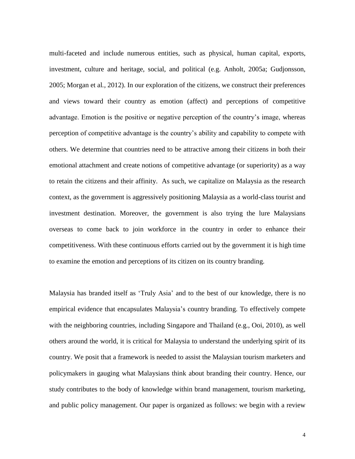multi-faceted and include numerous entities, such as physical, human capital, exports, investment, culture and heritage, social, and political (e.g. Anholt, 2005a; Gudjonsson, 2005; Morgan et al*.,* 2012). In our exploration of the citizens, we construct their preferences and views toward their country as emotion (affect) and perceptions of competitive advantage. Emotion is the positive or negative perception of the country's image, whereas perception of competitive advantage is the country's ability and capability to compete with others. We determine that countries need to be attractive among their citizens in both their emotional attachment and create notions of competitive advantage (or superiority) as a way to retain the citizens and their affinity. As such, we capitalize on Malaysia as the research context, as the government is aggressively positioning Malaysia as a world-class tourist and investment destination. Moreover, the government is also trying the lure Malaysians overseas to come back to join workforce in the country in order to enhance their competitiveness. With these continuous efforts carried out by the government it is high time to examine the emotion and perceptions of its citizen on its country branding.

Malaysia has branded itself as 'Truly Asia' and to the best of our knowledge, there is no empirical evidence that encapsulates Malaysia's country branding. To effectively compete with the neighboring countries, including Singapore and Thailand (e.g., Ooi, 2010), as well others around the world, it is critical for Malaysia to understand the underlying spirit of its country. We posit that a framework is needed to assist the Malaysian tourism marketers and policymakers in gauging what Malaysians think about branding their country. Hence, our study contributes to the body of knowledge within brand management, tourism marketing, and public policy management. Our paper is organized as follows: we begin with a review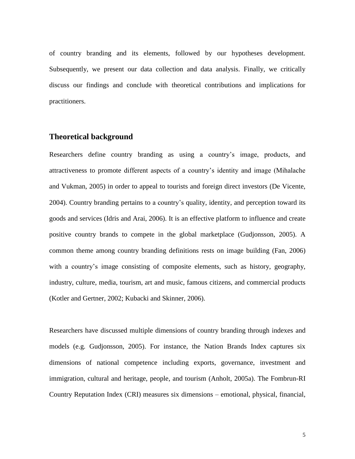of country branding and its elements, followed by our hypotheses development. Subsequently, we present our data collection and data analysis. Finally, we critically discuss our findings and conclude with theoretical contributions and implications for practitioners.

## **Theoretical background**

Researchers define country branding as using a country's image, products, and attractiveness to promote different aspects of a country's identity and image (Mihalache and Vukman, 2005) in order to appeal to tourists and foreign direct investors (De Vicente, 2004). Country branding pertains to a country's quality, identity, and perception toward its goods and services (Idris and Arai, 2006). It is an effective platform to influence and create positive country brands to compete in the global marketplace (Gudjonsson, 2005). A common theme among country branding definitions rests on image building (Fan, 2006) with a country's image consisting of composite elements, such as history, geography, industry, culture, media, tourism, art and music, famous citizens, and commercial products (Kotler and Gertner, 2002; Kubacki and Skinner, 2006).

Researchers have discussed multiple dimensions of country branding through indexes and models (e.g. Gudjonsson, 2005). For instance, the Nation Brands Index captures six dimensions of national competence including exports, governance, investment and immigration, cultural and heritage, people, and tourism (Anholt, 2005a). The Fombrun-RI Country Reputation Index (CRI) measures six dimensions – emotional, physical, financial,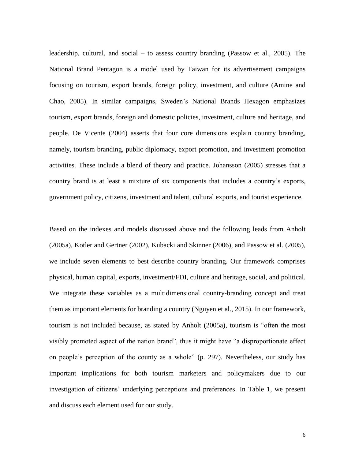leadership, cultural, and social – to assess country branding (Passow et al., 2005). The National Brand Pentagon is a model used by Taiwan for its advertisement campaigns focusing on tourism, export brands, foreign policy, investment, and culture (Amine and Chao, 2005). In similar campaigns, Sweden's National Brands Hexagon emphasizes tourism, export brands, foreign and domestic policies, investment, culture and heritage, and people. De Vicente (2004) asserts that four core dimensions explain country branding, namely, tourism branding, public diplomacy, export promotion, and investment promotion activities. These include a blend of theory and practice. Johansson (2005) stresses that a country brand is at least a mixture of six components that includes a country's exports, government policy, citizens, investment and talent, cultural exports, and tourist experience.

Based on the indexes and models discussed above and the following leads from Anholt (2005a), Kotler and Gertner (2002), Kubacki and Skinner (2006), and Passow et al. (2005), we include seven elements to best describe country branding. Our framework comprises physical, human capital, exports, investment/FDI, culture and heritage, social, and political. We integrate these variables as a multidimensional country-branding concept and treat them as important elements for branding a country (Nguyen et al., 2015). In our framework, tourism is not included because, as stated by Anholt (2005a), tourism is "often the most visibly promoted aspect of the nation brand", thus it might have "a disproportionate effect on people's perception of the county as a whole" (p. 297). Nevertheless, our study has important implications for both tourism marketers and policymakers due to our investigation of citizens' underlying perceptions and preferences. In Table 1, we present and discuss each element used for our study.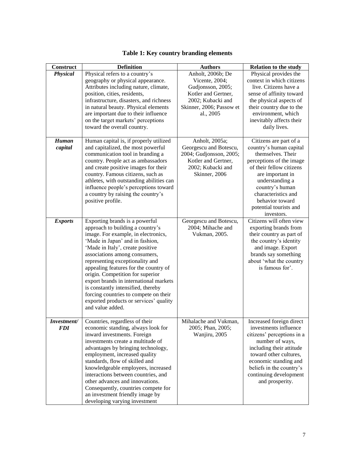| Construct                 | <b>Definition</b>                                                                                                                                                                                                                                                                                                                                                                                                                                                                                                        | <b>Authors</b>                                                                                                                                | <b>Relation to the study</b>                                                                                                                                                                                                                                               |
|---------------------------|--------------------------------------------------------------------------------------------------------------------------------------------------------------------------------------------------------------------------------------------------------------------------------------------------------------------------------------------------------------------------------------------------------------------------------------------------------------------------------------------------------------------------|-----------------------------------------------------------------------------------------------------------------------------------------------|----------------------------------------------------------------------------------------------------------------------------------------------------------------------------------------------------------------------------------------------------------------------------|
| Physical                  | Physical refers to a country's<br>geography or physical appearance.<br>Attributes including nature, climate,<br>position, cities, residents,<br>infrastructure, disasters, and richness<br>in natural beauty. Physical elements<br>are important due to their influence<br>on the target markets' perceptions<br>toward the overall country.                                                                                                                                                                             | Anholt, 2006b; De<br>Vicente, 2004;<br>Gudjonsson, 2005;<br>Kotler and Gertner,<br>2002; Kubacki and<br>Skinner, 2006; Passow et<br>al., 2005 | Physical provides the<br>context in which citizens<br>live. Citizens have a<br>sense of affinity toward<br>the physical aspects of<br>their country due to the<br>environment, which<br>inevitably affects their<br>daily lives.                                           |
| Human<br>capital          | Human capital is, if properly utilized<br>and capitalized, the most powerful<br>communication tool in branding a<br>country. People act as ambassadors<br>and create positive images for their<br>country. Famous citizens, such as<br>athletes, with outstanding abilities can<br>influence people's perceptions toward<br>a country by raising the country's<br>positive profile.                                                                                                                                      | Anholt, 2005a;<br>Georgescu and Botescu,<br>2004; Gudjonsson, 2005;<br>Kotler and Gertner,<br>2002; Kubacki and<br>Skinner, 2006              | Citizens are part of a<br>country's human capital<br>themselves. Their<br>perceptions of the image<br>of their fellow citizens<br>are important in<br>understanding a<br>country's human<br>characteristics and<br>behavior toward<br>potential tourists and<br>investors. |
| <b>Exports</b>            | Exporting brands is a powerful<br>approach to building a country's<br>image. For example, in electronics,<br>'Made in Japan' and in fashion,<br>'Made in Italy', create positive<br>associations among consumers,<br>representing exceptionality and<br>appealing features for the country of<br>origin. Competition for superior<br>export brands in international markets<br>is constantly intensified, thereby<br>forcing countries to compete on their<br>exported products or services' quality<br>and value added. | Georgescu and Botescu,<br>2004; Mihache and<br>Vukman, 2005.                                                                                  | Citizens will often view<br>exporting brands from<br>their country as part of<br>the country's identity<br>and image. Export<br>brands say something<br>about 'what the country<br>is famous for'.                                                                         |
| Investment/<br><b>FDI</b> | Countries, regardless of their<br>economic standing, always look for<br>inward investments. Foreign<br>investments create a multitude of<br>advantages by bringing technology,<br>employment, increased quality<br>standards, flow of skilled and<br>knowledgeable employees, increased<br>interactions between countries, and<br>other advances and innovations.<br>Consequently, countries compete for<br>an investment friendly image by<br>developing varying investment                                             | Mihalache and Vukman,<br>2005; Phan, 2005;<br>Wanjiru, 2005                                                                                   | Increased foreign direct<br>investments influence<br>citizens' perceptions in a<br>number of ways,<br>including their attitude<br>toward other cultures,<br>economic standing and<br>beliefs in the country's<br>continuing development<br>and prosperity.                 |

# **Table 1: Key country branding elements**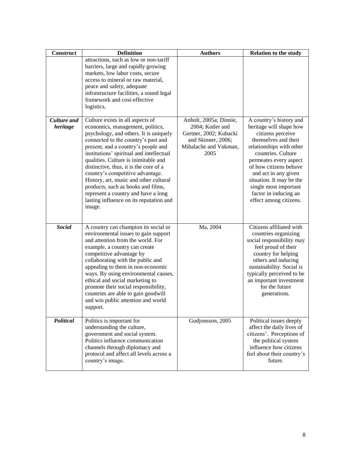| Construct                      | <b>Definition</b>                                                                                                                                                                                                                                                                                                                                                                                                                                                                                                                          | <b>Authors</b>                                                                                                              | <b>Relation to the study</b>                                                                                                                                                                                                                                                                                                          |
|--------------------------------|--------------------------------------------------------------------------------------------------------------------------------------------------------------------------------------------------------------------------------------------------------------------------------------------------------------------------------------------------------------------------------------------------------------------------------------------------------------------------------------------------------------------------------------------|-----------------------------------------------------------------------------------------------------------------------------|---------------------------------------------------------------------------------------------------------------------------------------------------------------------------------------------------------------------------------------------------------------------------------------------------------------------------------------|
|                                | attractions, such as low or non-tariff<br>barriers, large and rapidly growing<br>markets, low labor costs, secure<br>access to mineral or raw material,<br>peace and safety, adequate<br>infrastructure facilities, a sound legal<br>framework and cost-effective<br>logistics.                                                                                                                                                                                                                                                            |                                                                                                                             |                                                                                                                                                                                                                                                                                                                                       |
| <b>Culture</b> and<br>heritage | Culture exists in all aspects of<br>economics, management, politics,<br>psychology, and others. It is uniquely<br>connected to the country's past and<br>present, and a country's people and<br>institutions' spiritual and intellectual<br>qualities. Culture is inimitable and<br>distinctive, thus, it is the core of a<br>country's competitive advantage.<br>History, art, music and other cultural<br>products, such as books and films,<br>represent a country and have a long<br>lasting influence on its reputation and<br>image. | Anholt, 2005a; Dinnie,<br>2004; Kotler and<br>Gertner, 2002; Kubacki<br>and Skinner, 2006;<br>Mihalache and Vukman,<br>2005 | A country's history and<br>heritage will shape how<br>citizens perceive<br>themselves and their<br>relationships with other<br>countries. Culture<br>permeates every aspect<br>of how citizens behave<br>and act in any given<br>situation. It may be the<br>single most important<br>factor in inducing an<br>effect among citizens. |
| <b>Social</b>                  | A country can champion its social or<br>environmental issues to gain support<br>and attention from the world. For<br>example, a country can create<br>competitive advantage by<br>collaborating with the public and<br>appealing to them in non-economic<br>ways. By using environmental causes,<br>ethical and social marketing to<br>promote their social responsibility,<br>countries are able to gain goodwill<br>and win public attention and world<br>support.                                                                       | Ma, 2004                                                                                                                    | Citizens affiliated with<br>countries organizing<br>social responsibility may<br>feel proud of their<br>country for helping<br>others and inducing<br>sustainability. Social is<br>typically perceived to be<br>an important investment<br>for the future<br>generations.                                                             |
| Political                      | Politics is important for<br>understanding the culture,<br>government and social system.<br>Politics influence communication<br>channels through diplomacy and<br>protocol and affect all levels across a<br>country's image.                                                                                                                                                                                                                                                                                                              | Gudjonsson, 2005                                                                                                            | Political issues deeply<br>affect the daily lives of<br>citizens'. Perceptions of<br>the political system<br>influence how citizens<br>feel about their country's<br>future.                                                                                                                                                          |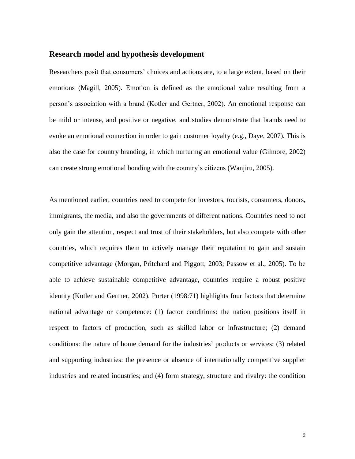## **Research model and hypothesis development**

Researchers posit that consumers' choices and actions are, to a large extent, based on their emotions (Magill, 2005). Emotion is defined as the emotional value resulting from a person's association with a brand (Kotler and Gertner, 2002). An emotional response can be mild or intense, and positive or negative, and studies demonstrate that brands need to evoke an emotional connection in order to gain customer loyalty (e.g., Daye, 2007). This is also the case for country branding, in which nurturing an emotional value (Gilmore, 2002) can create strong emotional bonding with the country's citizens (Wanjiru, 2005).

As mentioned earlier, countries need to compete for investors, tourists, consumers, donors, immigrants, the media, and also the governments of different nations. Countries need to not only gain the attention, respect and trust of their stakeholders, but also compete with other countries, which requires them to actively manage their reputation to gain and sustain competitive advantage (Morgan, Pritchard and Piggott, 2003; Passow et al., 2005). To be able to achieve sustainable competitive advantage, countries require a robust positive identity (Kotler and Gertner, 2002). Porter (1998:71) highlights four factors that determine national advantage or competence: (1) factor conditions: the nation positions itself in respect to factors of production, such as skilled labor or infrastructure; (2) demand conditions: the nature of home demand for the industries' products or services; (3) related and supporting industries: the presence or absence of internationally competitive supplier industries and related industries; and (4) form strategy, structure and rivalry: the condition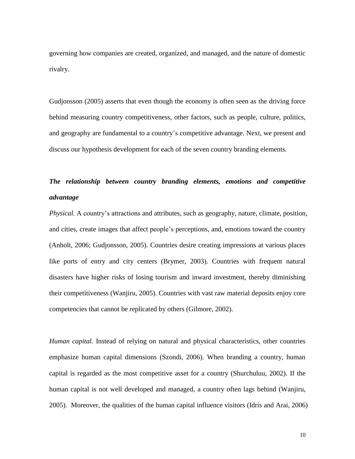governing how companies are created, organized, and managed, and the nature of domestic rivalry.

Gudjonsson (2005) asserts that even though the economy is often seen as the driving force behind measuring country competitiveness, other factors, such as people, culture, politics, and geography are fundamental to a country's competitive advantage. Next, we present and discuss our hypothesis development for each of the seven country branding elements.

# *The relationship between country branding elements, emotions and competitive advantage*

*Physical.* A country's attractions and attributes, such as geography, nature, climate, position, and cities, create images that affect people's perceptions, and, emotions toward the country (Anholt, 2006; Gudjonsson, 2005). Countries desire creating impressions at various places like ports of entry and city centers (Brymer, 2003). Countries with frequent natural disasters have higher risks of losing tourism and inward investment, thereby diminishing their competitiveness (Wanjiru, 2005). Countries with vast raw material deposits enjoy core competencies that cannot be replicated by others (Gilmore, 2002).

*Human capital.* Instead of relying on natural and physical characteristics, other countries emphasize human capital dimensions (Szondi, 2006). When branding a country, human capital is regarded as the most competitive asset for a country (Shurchuluu, 2002). If the human capital is not well developed and managed, a country often lags behind (Wanjiru, 2005). Moreover, the qualities of the human capital influence visitors (Idris and Arai, 2006)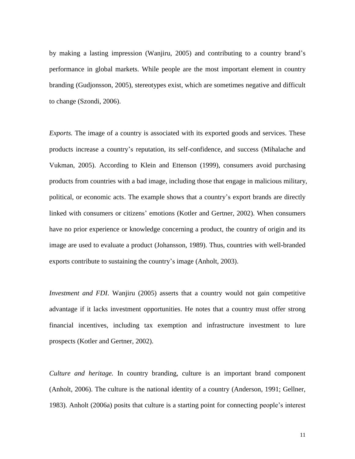by making a lasting impression (Wanjiru, 2005) and contributing to a country brand's performance in global markets. While people are the most important element in country branding (Gudjonsson, 2005), stereotypes exist, which are sometimes negative and difficult to change (Szondi, 2006).

*Exports.* The image of a country is associated with its exported goods and services. These products increase a country's reputation, its self-confidence, and success (Mihalache and Vukman, 2005). According to Klein and Ettenson (1999), consumers avoid purchasing products from countries with a bad image, including those that engage in malicious military, political, or economic acts. The example shows that a country's export brands are directly linked with consumers or citizens' emotions (Kotler and Gertner, 2002). When consumers have no prior experience or knowledge concerning a product, the country of origin and its image are used to evaluate a product (Johansson, 1989). Thus, countries with well-branded exports contribute to sustaining the country's image (Anholt, 2003).

*Investment and FDI*. Wanjiru (2005) asserts that a country would not gain competitive advantage if it lacks investment opportunities. He notes that a country must offer strong financial incentives, including tax exemption and infrastructure investment to lure prospects (Kotler and Gertner, 2002).

*Culture and heritage.* In country branding, culture is an important brand component (Anholt, 2006). The culture is the national identity of a country (Anderson, 1991; Gellner, 1983). Anholt (2006a) posits that culture is a starting point for connecting people's interest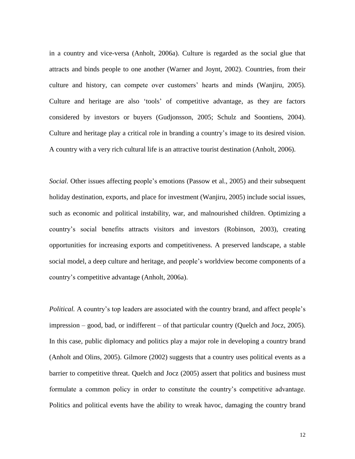in a country and vice-versa (Anholt, 2006a). Culture is regarded as the social glue that attracts and binds people to one another (Warner and Joynt, 2002). Countries, from their culture and history, can compete over customers' hearts and minds (Wanjiru, 2005). Culture and heritage are also 'tools' of competitive advantage, as they are factors considered by investors or buyers (Gudjonsson, 2005; Schulz and Soontiens, 2004). Culture and heritage play a critical role in branding a country's image to its desired vision. A country with a very rich cultural life is an attractive tourist destination (Anholt, 2006).

*Social.* Other issues affecting people's emotions (Passow et al., 2005) and their subsequent holiday destination, exports, and place for investment (Wanjiru, 2005) include social issues, such as economic and political instability, war, and malnourished children. Optimizing a country's social benefits attracts visitors and investors (Robinson, 2003), creating opportunities for increasing exports and competitiveness. A preserved landscape, a stable social model, a deep culture and heritage, and people's worldview become components of a country's competitive advantage (Anholt, 2006a).

*Political.* A country's top leaders are associated with the country brand, and affect people's impression – good, bad, or indifferent – of that particular country (Quelch and Jocz, 2005). In this case, public diplomacy and politics play a major role in developing a country brand (Anholt and Olins, 2005). Gilmore (2002) suggests that a country uses political events as a barrier to competitive threat. Quelch and Jocz (2005) assert that politics and business must formulate a common policy in order to constitute the country's competitive advantage. Politics and political events have the ability to wreak havoc, damaging the country brand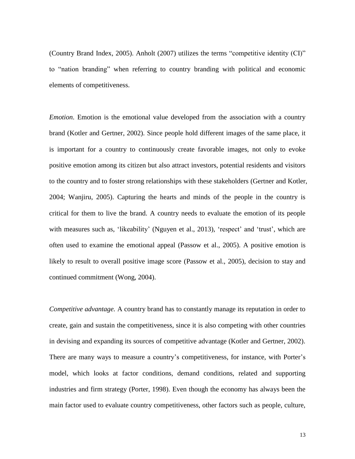(Country Brand Index, 2005). Anholt (2007) utilizes the terms "competitive identity (CI)" to "nation branding" when referring to country branding with political and economic elements of competitiveness.

*Emotion*. Emotion is the emotional value developed from the association with a country brand (Kotler and Gertner, 2002). Since people hold different images of the same place, it is important for a country to continuously create favorable images, not only to evoke positive emotion among its citizen but also attract investors, potential residents and visitors to the country and to foster strong relationships with these stakeholders (Gertner and Kotler, 2004; Wanjiru, 2005). Capturing the hearts and minds of the people in the country is critical for them to live the brand. A country needs to evaluate the emotion of its people with measures such as, 'likeability' (Nguyen et al., 2013), 'respect' and 'trust', which are often used to examine the emotional appeal (Passow et al., 2005). A positive emotion is likely to result to overall positive image score (Passow et al., 2005), decision to stay and continued commitment (Wong, 2004).

*Competitive advantage.* A country brand has to constantly manage its reputation in order to create, gain and sustain the competitiveness, since it is also competing with other countries in devising and expanding its sources of competitive advantage (Kotler and Gertner, 2002). There are many ways to measure a country's competitiveness, for instance, with Porter's model, which looks at factor conditions, demand conditions, related and supporting industries and firm strategy (Porter, 1998). Even though the economy has always been the main factor used to evaluate country competitiveness, other factors such as people, culture,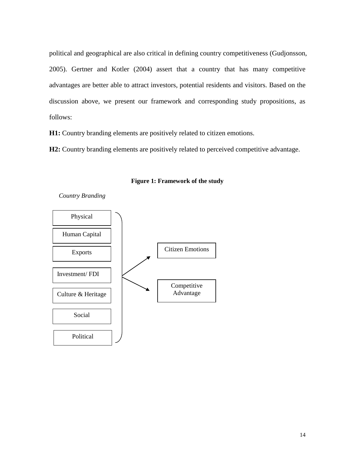political and geographical are also critical in defining country competitiveness (Gudjonsson, 2005). Gertner and Kotler (2004) assert that a country that has many competitive advantages are better able to attract investors, potential residents and visitors. Based on the discussion above, we present our framework and corresponding study propositions, as follows:

**H1:** Country branding elements are positively related to citizen emotions.

**H2:** Country branding elements are positively related to perceived competitive advantage.



**Figure 1: Framework of the study**

*Country Branding*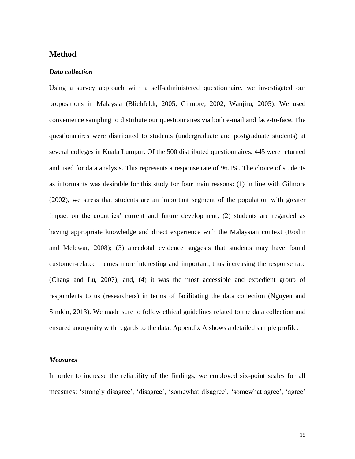## **Method**

#### *Data collection*

Using a survey approach with a self-administered questionnaire, we investigated our propositions in Malaysia (Blichfeldt, 2005; Gilmore, 2002; Wanjiru, 2005). We used convenience sampling to distribute our questionnaires via both e-mail and face-to-face. The questionnaires were distributed to students (undergraduate and postgraduate students) at several colleges in Kuala Lumpur. Of the 500 distributed questionnaires, 445 were returned and used for data analysis. This represents a response rate of 96.1%. The choice of students as informants was desirable for this study for four main reasons: (1) in line with Gilmore (2002), we stress that students are an important segment of the population with greater impact on the countries' current and future development; (2) students are regarded as having appropriate knowledge and direct experience with the Malaysian context (Roslin and Melewar, 2008); (3) anecdotal evidence suggests that students may have found customer-related themes more interesting and important, thus increasing the response rate (Chang and Lu, 2007); and, (4) it was the most accessible and expedient group of respondents to us (researchers) in terms of facilitating the data collection (Nguyen and Simkin, 2013). We made sure to follow ethical guidelines related to the data collection and ensured anonymity with regards to the data. Appendix A shows a detailed sample profile.

#### *Measures*

In order to increase the reliability of the findings, we employed six-point scales for all measures: 'strongly disagree', 'disagree', 'somewhat disagree', 'somewhat agree', 'agree'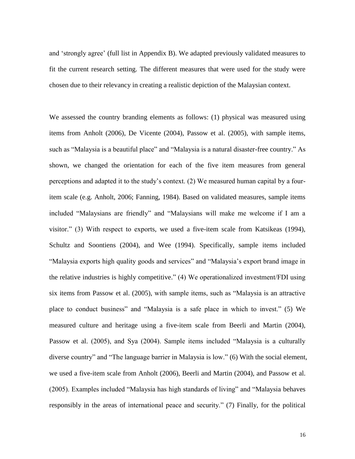and 'strongly agree' (full list in Appendix B). We adapted previously validated measures to fit the current research setting. The different measures that were used for the study were chosen due to their relevancy in creating a realistic depiction of the Malaysian context.

We assessed the country branding elements as follows: (1) physical was measured using items from Anholt (2006), De Vicente (2004), Passow et al. (2005), with sample items, such as "Malaysia is a beautiful place" and "Malaysia is a natural disaster-free country." As shown, we changed the orientation for each of the five item measures from general perceptions and adapted it to the study's context. (2) We measured human capital by a fouritem scale (e.g. Anholt, 2006; Fanning, 1984). Based on validated measures, sample items included "Malaysians are friendly" and "Malaysians will make me welcome if I am a visitor." (3) With respect to exports, we used a five-item scale from Katsikeas (1994), Schultz and Soontiens (2004), and Wee (1994). Specifically, sample items included "Malaysia exports high quality goods and services" and "Malaysia's export brand image in the relative industries is highly competitive." (4) We operationalized investment/FDI using six items from Passow et al. (2005), with sample items, such as "Malaysia is an attractive place to conduct business" and "Malaysia is a safe place in which to invest." (5) We measured culture and heritage using a five-item scale from Beerli and Martin (2004), Passow et al. (2005), and Sya (2004). Sample items included "Malaysia is a culturally diverse country" and "The language barrier in Malaysia is low." (6) With the social element, we used a five-item scale from Anholt (2006), Beerli and Martin (2004), and Passow et al. (2005). Examples included "Malaysia has high standards of living" and "Malaysia behaves responsibly in the areas of international peace and security." (7) Finally, for the political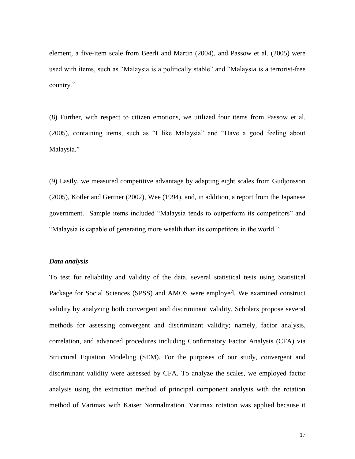element, a five-item scale from Beerli and Martin (2004), and Passow et al. (2005) were used with items, such as "Malaysia is a politically stable" and "Malaysia is a terrorist-free country."

(8) Further, with respect to citizen emotions, we utilized four items from Passow et al. (2005), containing items, such as "I like Malaysia" and "Have a good feeling about Malaysia."

(9) Lastly, we measured competitive advantage by adapting eight scales from Gudjonsson (2005), Kotler and Gertner (2002), Wee (1994), and, in addition, a report from the Japanese government. Sample items included "Malaysia tends to outperform its competitors" and "Malaysia is capable of generating more wealth than its competitors in the world."

#### *Data analysis*

To test for reliability and validity of the data, several statistical tests using Statistical Package for Social Sciences (SPSS) and AMOS were employed. We examined construct validity by analyzing both convergent and discriminant validity. Scholars propose several methods for assessing convergent and discriminant validity; namely, factor analysis, correlation, and advanced procedures including Confirmatory Factor Analysis (CFA) via Structural Equation Modeling (SEM). For the purposes of our study, convergent and discriminant validity were assessed by CFA. To analyze the scales, we employed factor analysis using the extraction method of principal component analysis with the rotation method of Varimax with Kaiser Normalization. Varimax rotation was applied because it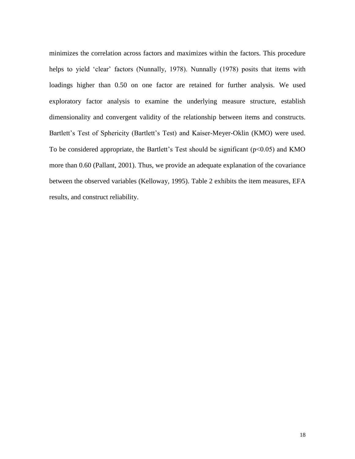minimizes the correlation across factors and maximizes within the factors. This procedure helps to yield 'clear' factors (Nunnally, 1978). Nunnally (1978) posits that items with loadings higher than 0.50 on one factor are retained for further analysis. We used exploratory factor analysis to examine the underlying measure structure, establish dimensionality and convergent validity of the relationship between items and constructs. Bartlett's Test of Sphericity (Bartlett's Test) and Kaiser-Meyer-Oklin (KMO) were used. To be considered appropriate, the Bartlett's Test should be significant  $(p<0.05)$  and KMO more than 0.60 (Pallant, 2001). Thus, we provide an adequate explanation of the covariance between the observed variables (Kelloway, 1995). Table 2 exhibits the item measures, EFA results, and construct reliability.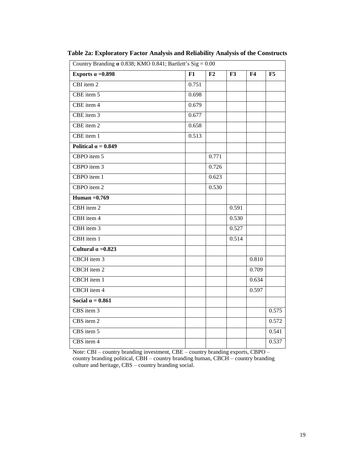| Country Branding $\alpha$ 0.838; KMO 0.841; Bartlett's Sig = 0.00 |       |       |       |                |       |
|-------------------------------------------------------------------|-------|-------|-------|----------------|-------|
| Exports $\alpha = 0.898$                                          | F1    | F2    | F3    | F <sub>4</sub> | F5    |
| $CBI$ item $2$                                                    | 0.751 |       |       |                |       |
| CBE item 5                                                        | 0.698 |       |       |                |       |
| CBE item 4                                                        | 0.679 |       |       |                |       |
| CBE item 3                                                        | 0.677 |       |       |                |       |
| CBE item 2                                                        | 0.658 |       |       |                |       |
| CBE item 1                                                        | 0.513 |       |       |                |       |
| Political $\alpha = 0.849$                                        |       |       |       |                |       |
| CBPO item 5                                                       |       | 0.771 |       |                |       |
| CBPO item 3                                                       |       | 0.726 |       |                |       |
| CBPO item 1                                                       |       | 0.623 |       |                |       |
| CBPO item 2                                                       |       | 0.530 |       |                |       |
| Human $=0.769$                                                    |       |       |       |                |       |
| CBH item 2                                                        |       |       | 0.591 |                |       |
| CBH item 4                                                        |       |       | 0.530 |                |       |
| CBH item 3                                                        |       |       | 0.527 |                |       |
| CBH item 1                                                        |       |       | 0.514 |                |       |
| Cultural $\alpha = 0.823$                                         |       |       |       |                |       |
| CBCH item 3                                                       |       |       |       | 0.810          |       |
| CBCH item 2                                                       |       |       |       | 0.709          |       |
| CBCH item 1                                                       |       |       |       | 0.634          |       |
| CBCH item 4                                                       |       |       |       | 0.597          |       |
| Social $\alpha = 0.861$                                           |       |       |       |                |       |
| CBS item 3                                                        |       |       |       |                | 0.575 |
| CBS item 2                                                        |       |       |       |                | 0.572 |
| CBS item 5                                                        |       |       |       |                | 0.541 |
| $CBS$ item $4$                                                    |       |       |       |                | 0.537 |

**Table 2a: Exploratory Factor Analysis and Reliability Analysis of the Constructs**

Note: CBI – country branding investment, CBE – country branding exports, CBPO – country branding political, CBH – country branding human, CBCH – country branding culture and heritage, CBS – country branding social.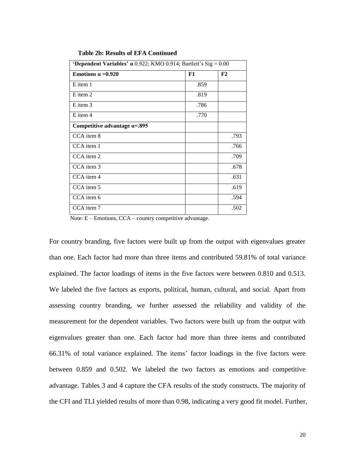| <b>'Dependent Variables' <math>\alpha</math></b> 0.922; KMO 0.914; Bartlett's Sig = 0.00 |      |      |  |  |
|------------------------------------------------------------------------------------------|------|------|--|--|
| Emotions $\alpha = 0.920$                                                                | F1   | F2   |  |  |
| E item 1                                                                                 | .859 |      |  |  |
| E item 2                                                                                 | .819 |      |  |  |
| E item 3                                                                                 | .786 |      |  |  |
| E item 4                                                                                 | .770 |      |  |  |
| Competitive advantage $\alpha = 0.895$                                                   |      |      |  |  |
| CCA item 8                                                                               |      | .793 |  |  |
| CCA item 1                                                                               |      | .766 |  |  |
| CCA item 2                                                                               |      | .709 |  |  |
| CCA item 3                                                                               |      | .678 |  |  |
| CCA item 4                                                                               |      | .631 |  |  |
| CCA item 5                                                                               |      | .619 |  |  |
| CCA item 6                                                                               |      | .594 |  |  |
| CCA item 7                                                                               |      | .502 |  |  |

**Table 2b: Results of EFA Continued**

Note: E – Emotions, CCA – country competitive advantage.

For country branding, five factors were built up from the output with eigenvalues greater than one. Each factor had more than three items and contributed 59.81% of total variance explained. The factor loadings of items in the five factors were between 0.810 and 0.513. We labeled the five factors as exports, political, human, cultural, and social. Apart from assessing country branding, we further assessed the reliability and validity of the measurement for the dependent variables. Two factors were built up from the output with eigenvalues greater than one. Each factor had more than three items and contributed 66.31% of total variance explained. The items' factor loadings in the five factors were between 0.859 and 0.502. We labeled the two factors as emotions and competitive advantage. Tables 3 and 4 capture the CFA results of the study constructs. The majority of the CFI and TLI yielded results of more than 0.98, indicating a very good fit model. Further,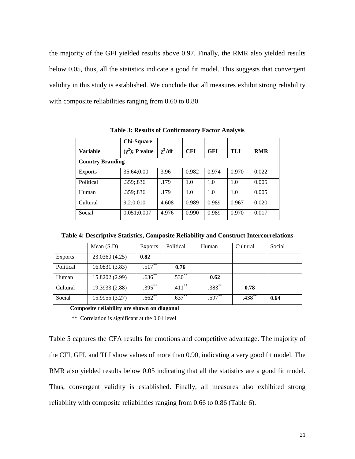the majority of the GFI yielded results above 0.97. Finally, the RMR also yielded results below 0.05, thus, all the statistics indicate a good fit model. This suggests that convergent validity in this study is established. We conclude that all measures exhibit strong reliability with composite reliabilities ranging from 0.60 to 0.80.

|                         | <b>Chi-Square</b>    |             |            |            |       |            |
|-------------------------|----------------------|-------------|------------|------------|-------|------------|
| <b>Variable</b>         | $(\chi^2)$ ; P value | $\chi^2/df$ | <b>CFI</b> | <b>GFI</b> | TLI   | <b>RMR</b> |
| <b>Country Branding</b> |                      |             |            |            |       |            |
| Exports                 | 35.64;0.00           | 3.96        | 0.982      | 0.974      | 0.970 | 0.022      |
| Political               | .359;.836            | .179        | 1.0        | 1.0        | 1.0   | 0.005      |
| Human                   | .359;.836            | .179        | 1.0        | 1.0        | 1.0   | 0.005      |
| Cultural                | 9.2;0.010            | 4.608       | 0.989      | 0.989      | 0.967 | 0.020      |
| Social                  | 0.051;0.007          | 4.976       | 0.990      | 0.989      | 0.970 | 0.017      |

**Table 3: Results of Confirmatory Factor Analysis**

**Table 4: Descriptive Statistics, Composite Reliability and Construct Intercorrelations**

|                | Mean $(S.D)$   | Exports     | Political | Human    | Cultural | Social |
|----------------|----------------|-------------|-----------|----------|----------|--------|
| <b>Exports</b> | 23.0360 (4.25) | 0.82        |           |          |          |        |
| Political      | 16.0831 (3.83) | $.517***$   | 0.76      |          |          |        |
| Human          | 15.8202 (2.99) | $.636^{**}$ | $.530**$  | 0.62     |          |        |
| Cultural       | 19.3933 (2.88) | $.395***$   | $.411***$ | $.383**$ | 0.78     |        |
| Social         | 15.9955 (3.27) | $.662***$   | $.637**$  | .597**   | $.438**$ | 0.64   |

**Composite reliability are shown on diagonal**

\*\*. Correlation is significant at the 0.01 level

Table 5 captures the CFA results for emotions and competitive advantage. The majority of the CFI, GFI, and TLI show values of more than 0.90, indicating a very good fit model. The RMR also yielded results below 0.05 indicating that all the statistics are a good fit model. Thus, convergent validity is established. Finally, all measures also exhibited strong reliability with composite reliabilities ranging from 0.66 to 0.86 (Table 6).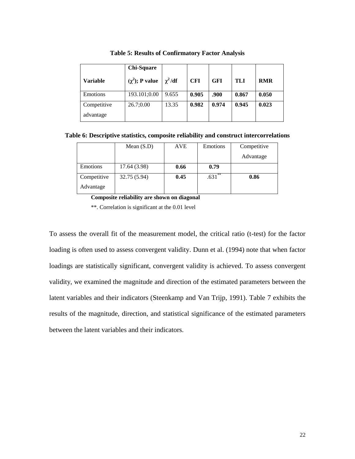|                          | <b>Chi-Square</b>    |             |            |            |       |            |
|--------------------------|----------------------|-------------|------------|------------|-------|------------|
| <b>Variable</b>          | $(\chi^2)$ ; P value | $\chi^2/df$ | <b>CFI</b> | <b>GFI</b> | TLI   | <b>RMR</b> |
| Emotions                 | 193.101;0.00         | 9.655       | 0.905      | .900       | 0.867 | 0.050      |
| Competitive<br>advantage | 26.7;0.00            | 13.35       | 0.982      | 0.974      | 0.945 | 0.023      |

**Table 5: Results of Confirmatory Factor Analysis**

**Table 6: Descriptive statistics, composite reliability and construct intercorrelations**

|             | Mean $(S.D)$ | <b>AVE</b> | Emotions  | Competitive |
|-------------|--------------|------------|-----------|-------------|
|             |              |            |           | Advantage   |
| Emotions    | 17.64 (3.98) | 0.66       | 0.79      |             |
| Competitive | 32.75 (5.94) | 0.45       | $.631***$ | 0.86        |
| Advantage   |              |            |           |             |

**Composite reliability are shown on diagonal**

\*\*. Correlation is significant at the 0.01 level

To assess the overall fit of the measurement model, the critical ratio (t-test) for the factor loading is often used to assess convergent validity. Dunn et al. (1994) note that when factor loadings are statistically significant, convergent validity is achieved. To assess convergent validity, we examined the magnitude and direction of the estimated parameters between the latent variables and their indicators (Steenkamp and Van Trijp, 1991). Table 7 exhibits the results of the magnitude, direction, and statistical significance of the estimated parameters between the latent variables and their indicators.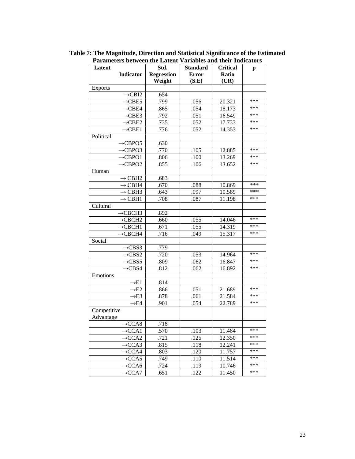| Latent                        | Std.              | <b>Standard</b> | <b>Critical</b> | p   |
|-------------------------------|-------------------|-----------------|-----------------|-----|
| <b>Indicator</b>              | <b>Regression</b> | <b>Error</b>    | <b>Ratio</b>    |     |
|                               | Weight            | (S.E)           | (CR)            |     |
| <b>Exports</b>                |                   |                 |                 |     |
| $\rightarrow$ CBI2            | .654              |                 |                 |     |
| $\rightarrow$ CBE5            | .799              | .056            | 20.321          | *** |
| $\rightarrow$ CBE4            | .865              | .054            | 18.173          | *** |
| $\rightarrow$ CBE3            | .792              | .051            | 16.549          | *** |
| $\rightarrow$ CBE2            | .735              | .052            | 17.733          | *** |
| $\rightarrow$ CBE1            | .776              | .052            | 14.353          | *** |
| Political                     |                   |                 |                 |     |
| $\rightarrow$ CBPO5           | .630              |                 |                 |     |
| $\rightarrow$ CBPO3           | .770              | .105            | 12.885          | *** |
| $\rightarrow$ CBPO1           | .806              | .100            | 13.269          | *** |
| $\rightarrow$ CBPO2           | .855              | .106            | 13.652          | *** |
| Human                         |                   |                 |                 |     |
| $\rightarrow$ CBH2            | .683              |                 |                 |     |
| $\rightarrow$ CBH4            | .670              | .088            | 10.869          | *** |
| $\rightarrow$ CBH3            | .643              | .097            | 10.589          | *** |
| $\rightarrow$ CBH1            | .708              | .087            | 11.198          | *** |
| Cultural                      |                   |                 |                 |     |
| $\rightarrow$ CBCH3           | .892              |                 |                 |     |
| $\rightarrow$ CBCH2           | .660              | .055            | 14.046          | *** |
| $\rightarrow$ CBCH1           | .671              | .055            | 14.319          | *** |
| $\rightarrow$ CBCH4           | .716              | .049            | 15.317          | *** |
| Social                        |                   |                 |                 |     |
| $\rightarrow$ CBS3            | .779              |                 |                 |     |
| $\rightarrow$ CBS2            | .720              | .053            | 14.964          | *** |
| $\rightarrow$ CBS5            | .809              | .062            | 16.847          | *** |
| $\rightarrow$ CBS4            | .812              | .062            | 16.892          | *** |
| Emotions                      |                   |                 |                 |     |
| $\rightarrow E1$              | .814              |                 |                 |     |
| $\rightarrow$ E2              | .866              | .051            | 21.689          | *** |
| $\rightarrow$ E3              | .878              | .061            | 21.584          | *** |
| $\rightarrow$ E4              | .901              | .054            | 22.789          | *** |
| Competitive                   |                   |                 |                 |     |
| Advantage                     |                   |                 |                 |     |
| $-CCA\overline{8}$            | .718              |                 |                 |     |
| $\rightarrow$ CCA1            | .570              | .103            | 11.484          | *** |
| $\rightarrow$ CCA2            | .721              | .125            | 12.350          | *** |
| $\rightarrow$ CCA3            | .815              | .118            | 12.241          | *** |
| $\rightarrow CCA4$            | .803              | .120            | 11.757          | *** |
| $\rightarrow$ CCA5            | .749              | .110            | 11.514          | *** |
| $\overline{\rightarrow}$ CCA6 | .724              | .119            | 10.746          | *** |
| $\rightarrow CCA7$            | .651              | .122            | 11.450          | *** |

**Table 7: The Magnitude, Direction and Statistical Significance of the Estimated Parameters between the Latent Variables and their Indicators**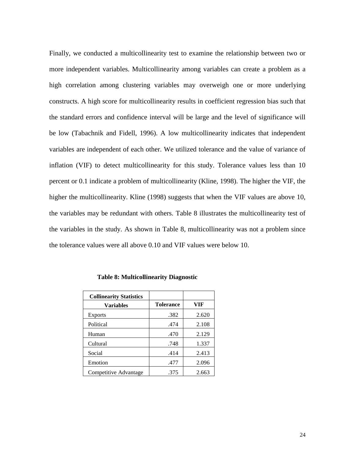Finally, we conducted a multicollinearity test to examine the relationship between two or more independent variables. Multicollinearity among variables can create a problem as a high correlation among clustering variables may overweigh one or more underlying constructs. A high score for multicollinearity results in coefficient regression bias such that the standard errors and confidence interval will be large and the level of significance will be low (Tabachnik and Fidell, 1996). A low multicollinearity indicates that independent variables are independent of each other. We utilized tolerance and the value of variance of inflation (VIF) to detect multicollinearity for this study. Tolerance values less than 10 percent or 0.1 indicate a problem of multicollinearity (Kline, 1998). The higher the VIF, the higher the multicollinearity. Kline (1998) suggests that when the VIF values are above 10, the variables may be redundant with others. Table 8 illustrates the multicollinearity test of the variables in the study. As shown in Table 8, multicollinearity was not a problem since the tolerance values were all above 0.10 and VIF values were below 10.

| <b>Collinearity Statistics</b> |                  |       |
|--------------------------------|------------------|-------|
| <b>Variables</b>               | <b>Tolerance</b> | VIF   |
| <b>Exports</b>                 | .382             | 2.620 |
| Political                      | .474             | 2.108 |
| Human                          | .470             | 2.129 |
| Cultural                       | .748             | 1.337 |
| Social                         | .414             | 2.413 |
| Emotion                        | .477             | 2.096 |
| Competitive Advantage          | .375             | 2.663 |

 **Table 8: Multicollinearity Diagnostic**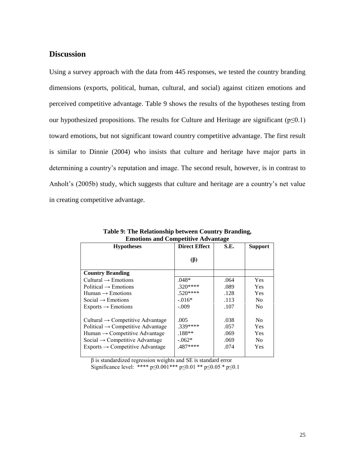## **Discussion**

Using a survey approach with the data from 445 responses, we tested the country branding dimensions (exports, political, human, cultural, and social) against citizen emotions and perceived competitive advantage. Table 9 shows the results of the hypotheses testing from our hypothesized propositions. The results for Culture and Heritage are significant ( $p \le 0.1$ ) toward emotions, but not significant toward country competitive advantage. The first result is similar to Dinnie (2004) who insists that culture and heritage have major parts in determining a country's reputation and image. The second result, however, is in contrast to Anholt's (2005b) study, which suggests that culture and heritage are a country's net value in creating competitive advantage.

| еннойбыла сопрепитентация                     |                      |      |                |  |  |
|-----------------------------------------------|----------------------|------|----------------|--|--|
| <b>Hypotheses</b>                             | <b>Direct Effect</b> | S.E. | <b>Support</b> |  |  |
|                                               |                      |      |                |  |  |
|                                               | $(\beta)$            |      |                |  |  |
|                                               |                      |      |                |  |  |
| <b>Country Branding</b>                       |                      |      |                |  |  |
| Cultural $\rightarrow$ Emotions               | $.048*$              | .064 | Yes            |  |  |
| Political $\rightarrow$ Emotions              | $.320***$            | .089 | Yes            |  |  |
| Human $\rightarrow$ Emotions                  | $.520***$            | .128 | Yes            |  |  |
| Social $\rightarrow$ Emotions                 | $-0.016*$            | .113 | N <sub>0</sub> |  |  |
| $Exports \rightarrow Emotions$                | $-.009$              | .107 | N <sub>0</sub> |  |  |
|                                               |                      |      |                |  |  |
| Cultural $\rightarrow$ Competitive Advantage  | .005                 | .038 | N <sub>0</sub> |  |  |
| Political $\rightarrow$ Competitive Advantage | .339****             | .057 | Yes            |  |  |
| Human $\rightarrow$ Competitive Advantage     | $.188**$             | .069 | Yes            |  |  |
| Social $\rightarrow$ Competitive Advantage    | $-.062*$             | .069 | N <sub>0</sub> |  |  |
| $Exports \rightarrow$ Competitive Advantage   | .487****             | .074 | Yes            |  |  |
|                                               |                      |      |                |  |  |

**Table 9: The Relationship between Country Branding, Emotions and Competitive Advantage**

 $\beta$  is standardized regression weights and SE is standard error

Significance level: \*\*\*\*  $p \le 0.001$ \*\*\*  $p \le 0.01$  \*\*  $p \le 0.05$  \*  $p \le 0.1$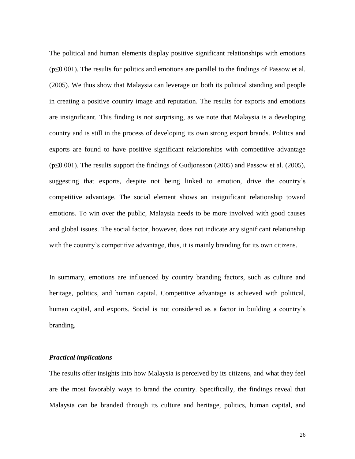The political and human elements display positive significant relationships with emotions  $(p \le 0.001)$ . The results for politics and emotions are parallel to the findings of Passow et al. (2005). We thus show that Malaysia can leverage on both its political standing and people in creating a positive country image and reputation. The results for exports and emotions are insignificant. This finding is not surprising, as we note that Malaysia is a developing country and is still in the process of developing its own strong export brands. Politics and exports are found to have positive significant relationships with competitive advantage  $(p \le 0.001)$ . The results support the findings of Gudjonsson (2005) and Passow et al. (2005), suggesting that exports, despite not being linked to emotion, drive the country's competitive advantage. The social element shows an insignificant relationship toward emotions. To win over the public, Malaysia needs to be more involved with good causes and global issues. The social factor, however, does not indicate any significant relationship with the country's competitive advantage, thus, it is mainly branding for its own citizens.

In summary, emotions are influenced by country branding factors, such as culture and heritage, politics, and human capital. Competitive advantage is achieved with political, human capital, and exports. Social is not considered as a factor in building a country's branding.

#### *Practical implications*

The results offer insights into how Malaysia is perceived by its citizens, and what they feel are the most favorably ways to brand the country. Specifically, the findings reveal that Malaysia can be branded through its culture and heritage, politics, human capital, and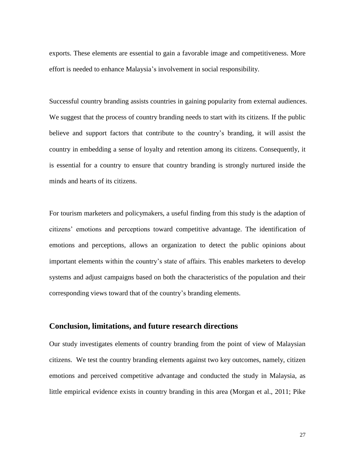exports. These elements are essential to gain a favorable image and competitiveness. More effort is needed to enhance Malaysia's involvement in social responsibility.

Successful country branding assists countries in gaining popularity from external audiences. We suggest that the process of country branding needs to start with its citizens. If the public believe and support factors that contribute to the country's branding, it will assist the country in embedding a sense of loyalty and retention among its citizens. Consequently, it is essential for a country to ensure that country branding is strongly nurtured inside the minds and hearts of its citizens.

For tourism marketers and policymakers, a useful finding from this study is the adaption of citizens' emotions and perceptions toward competitive advantage. The identification of emotions and perceptions, allows an organization to detect the public opinions about important elements within the country's state of affairs. This enables marketers to develop systems and adjust campaigns based on both the characteristics of the population and their corresponding views toward that of the country's branding elements.

# **Conclusion, limitations, and future research directions**

Our study investigates elements of country branding from the point of view of Malaysian citizens. We test the country branding elements against two key outcomes, namely, citizen emotions and perceived competitive advantage and conducted the study in Malaysia, as little empirical evidence exists in country branding in this area (Morgan et al., 2011; Pike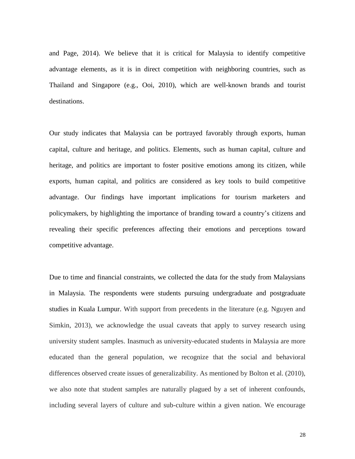and Page, 2014). We believe that it is critical for Malaysia to identify competitive advantage elements, as it is in direct competition with neighboring countries, such as Thailand and Singapore (e.g., Ooi, 2010), which are well-known brands and tourist destinations.

Our study indicates that Malaysia can be portrayed favorably through exports, human capital, culture and heritage, and politics. Elements, such as human capital, culture and heritage, and politics are important to foster positive emotions among its citizen, while exports, human capital, and politics are considered as key tools to build competitive advantage. Our findings have important implications for tourism marketers and policymakers, by highlighting the importance of branding toward a country's citizens and revealing their specific preferences affecting their emotions and perceptions toward competitive advantage.

Due to time and financial constraints, we collected the data for the study from Malaysians in Malaysia. The respondents were students pursuing undergraduate and postgraduate studies in Kuala Lumpur. With support from precedents in the literature (e.g. Nguyen and Simkin, 2013), we acknowledge the usual caveats that apply to survey research using university student samples. Inasmuch as university-educated students in Malaysia are more educated than the general population, we recognize that the social and behavioral differences observed create issues of generalizability. As mentioned by Bolton et al. (2010), we also note that student samples are naturally plagued by a set of inherent confounds, including several layers of culture and sub-culture within a given nation. We encourage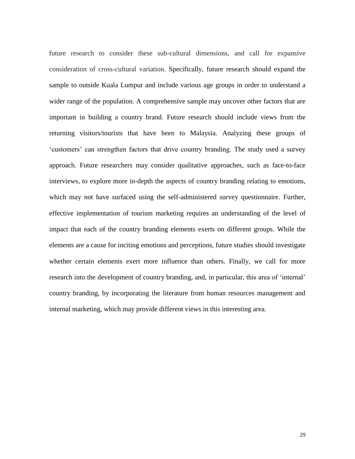future research to consider these sub-cultural dimensions, and call for expansive consideration of cross-cultural variation. Specifically, future research should expand the sample to outside Kuala Lumpur and include various age groups in order to understand a wider range of the population. A comprehensive sample may uncover other factors that are important in building a country brand. Future research should include views from the returning visitors/tourists that have been to Malaysia. Analyzing these groups of 'customers' can strengthen factors that drive country branding. The study used a survey approach. Future researchers may consider qualitative approaches, such as face-to-face interviews, to explore more in-depth the aspects of country branding relating to emotions, which may not have surfaced using the self-administered survey questionnaire. Further, effective implementation of tourism marketing requires an understanding of the level of impact that each of the country branding elements exerts on different groups. While the elements are a cause for inciting emotions and perceptions, future studies should investigate whether certain elements exert more influence than others. Finally, we call for more research into the development of country branding, and, in particular, this area of 'internal' country branding, by incorporating the literature from human resources management and internal marketing, which may provide different views in this interesting area.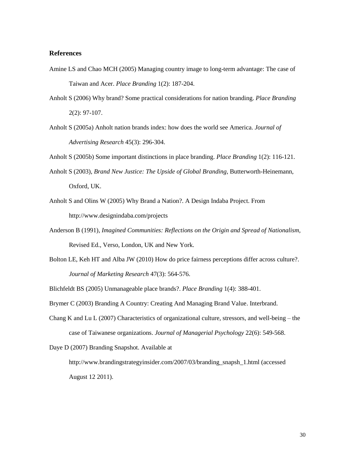#### **References**

- Amine LS and Chao MCH (2005) Managing country image to long-term advantage: The case of Taiwan and Acer. *Place Branding* 1(2): 187-204.
- Anholt S (2006) Why brand? Some practical considerations for nation branding. *Place Branding* 2(2): 97-107.
- Anholt S (2005a) Anholt nation brands index: how does the world see America. *Journal of Advertising Research* 45(3): 296-304.

Anholt S (2005b) Some important distinctions in place branding. *Place Branding* 1(2): 116-121.

- Anholt S (2003), *Brand New Justice: The Upside of Global Branding,* Butterworth-Heinemann, Oxford, UK.
- Anholt S and Olins W (2005) Why Brand a Nation?. A Design Indaba Project. From http://www.designindaba.com/projects
- Anderson B (1991), *Imagined Communities: Reflections on the Origin and Spread of Nationalism,*  Revised Ed., Verso, London, UK and New York.
- Bolton LE, Keh HT and Alba JW (2010) How do price fairness perceptions differ across culture?. *Journal of Marketing Research* 47(3): 564-576.
- Blichfeldt BS (2005) Unmanageable place brands?. *Place Branding* 1(4): 388-401.

Brymer C (2003) Branding A Country: Creating And Managing Brand Value. Interbrand.

Chang K and Lu L (2007) Characteristics of organizational culture, stressors, and well-being – the case of Taiwanese organizations. *Journal of Managerial Psychology* 22(6): 549-568.

Daye D (2007) Branding Snapshot. Available at

http://www.brandingstrategyinsider.com/2007/03/branding\_snapsh\_1.html (accessed August 12 2011).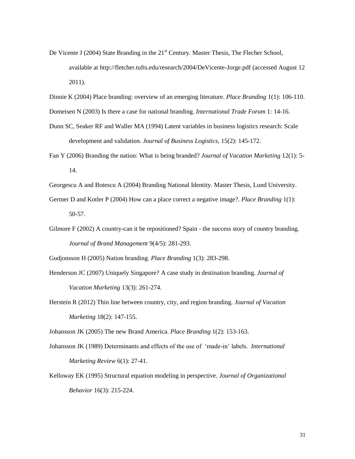- De Vicente J (2004) State Branding in the 21<sup>st</sup> Century. Master Thesis, The Flecher School, available at http://fletcher.tufts.edu/research/2004/DeVicente-Jorge.pdf (accessed August 12 2011).
- Dinnie K (2004) Place branding: overview of an emerging literature. *Place Branding* 1(1): 106-110.
- Domeisen N (2003) Is there a case for national branding. *International Trade Forum* 1: 14-16.
- Dunn SC, Seaker RF and Waller MA (1994) Latent variables in business logistics research: Scale development and validation. *Journal of Business Logistics,* 15(2): 145-172.
- Fan Y (2006) Branding the nation: What is being branded? *Journal of Vacation Marketing* 12(1): 5- 14.
- Georgescu A and Botescu A (2004) Branding National Identity. Master Thesis, Lund University.
- Gertner D and Kotler P (2004) How can a place correct a negative image?. *Place Branding* 1(1): 50-57.
- Gilmore F (2002) A country-can it be repositioned? Spain the success story of country branding. *Journal of Brand Management* 9(4/5): 281-293.

Gudjonsson H (2005) Nation branding. *Place Branding* 1(3): 283-298.

- Henderson JC (2007) Uniquely Singapore? A case study in destination branding. *Journal of Vacation Marketing* 13(3): 261-274.
- Herstein R (2012) Thin line between country, city, and region branding. *Journal of Vacation Marketing* 18(2): 147-155.

Johansson JK (2005) The new Brand America. *Place Branding* 1(2): 153-163.

- Johansson JK (1989) Determinants and effects of the use of 'made-in' labels. *International Marketing Review* 6(1): 27-41.
- Kelloway EK (1995) Structural equation modeling in perspective. *Journal of Organizational Behavior* 16(3): 215-224.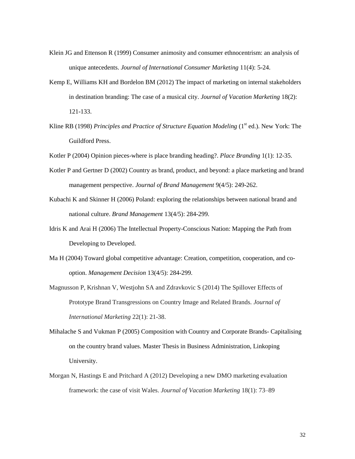- Klein JG and Ettenson R (1999) Consumer animosity and consumer ethnocentrism: an analysis of unique antecedents. *Journal of International Consumer Marketing* 11(4): 5-24.
- Kemp E, Williams KH and Bordelon BM (2012) The impact of marketing on internal stakeholders in destination branding: The case of a musical city. *Journal of Vacation Marketing* 18(2): 121-133.
- Kline RB (1998) *Principles and Practice of Structure Equation Modeling* (1<sup>st</sup> ed.). New York: The Guildford Press.
- Kotler P (2004) Opinion pieces-where is place branding heading?. *Place Branding* 1(1): 12-35.
- Kotler P and Gertner D (2002) Country as brand, product, and beyond: a place marketing and brand management perspective. *Journal of Brand Management* 9(4/5): 249-262.
- Kubachi K and Skinner H (2006) Poland: exploring the relationships between national brand and national culture. *Brand Management* 13(4/5): 284-299.
- Idris K and Arai H (2006) The Intellectual Property-Conscious Nation: Mapping the Path from Developing to Developed.
- Ma H (2004) Toward global competitive advantage: Creation, competition, cooperation, and cooption. *Management Decision* 13(4/5): 284-299.
- Magnusson P, Krishnan V, Westjohn SA and Zdravkovic S (2014) The Spillover Effects of Prototype Brand Transgressions on Country Image and Related Brands. *Journal of International Marketing* 22(1): 21-38.
- Mihalache S and Vukman P (2005) Composition with Country and Corporate Brands- Capitalising on the country brand values. Master Thesis in Business Administration, Linkoping University.
- Morgan N, Hastings E and Pritchard A (2012) Developing a new DMO marketing evaluation framework: the case of visit Wales. *Journal of Vacation Marketing* 18(1): 73–89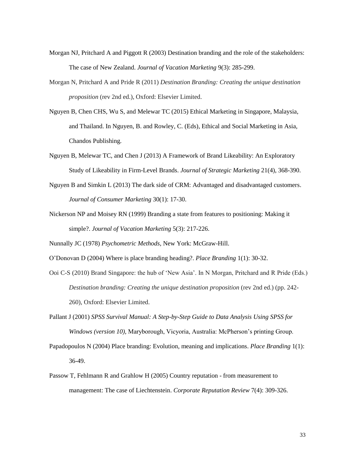- Morgan NJ, Pritchard A and Piggott R (2003) Destination branding and the role of the stakeholders: The case of New Zealand. *Journal of Vacation Marketing* 9(3): 285-299.
- Morgan N, Pritchard A and Pride R (2011) *Destination Branding: Creating the unique destination proposition* (rev 2nd ed.), Oxford: Elsevier Limited.
- Nguyen B, Chen CHS, Wu S, and Melewar TC (2015) Ethical Marketing in Singapore, Malaysia, and Thailand. In Nguyen, B. and Rowley, C. (Eds), Ethical and Social Marketing in Asia, Chandos Publishing.
- Nguyen B, Melewar TC, and Chen J (2013) A Framework of Brand Likeability: An Exploratory Study of Likeability in Firm-Level Brands. *Journal of Strategic Marketing* 21(4), 368-390.
- Nguyen B and Simkin L (2013) The dark side of CRM: Advantaged and disadvantaged customers. *Journal of Consumer Marketing* 30(1): 17-30.
- Nickerson NP and Moisey RN (1999) Branding a state from features to positioning: Making it simple?. *Journal of Vacation Marketing* 5(3): 217-226.
- Nunnally JC (1978) *Psychometric Methods,* New York: McGraw-Hill.
- O'Donovan D (2004) Where is place branding heading?. *Place Branding* 1(1): 30-32.
- Ooi C-S (2010) Brand Singapore: the hub of 'New Asia'. In N Morgan, Pritchard and R Pride (Eds.) *Destination branding: Creating the unique destination proposition* (rev 2nd ed.) (pp. 242- 260), Oxford: Elsevier Limited.
- Pallant J (2001) *SPSS Survival Manual: A Step-by-Step Guide to Data Analysis Using SPSS for Windows (version 10),* Maryborough, Vicyoria, Australia: McPherson's printing Group.
- Papadopoulos N (2004) Place branding: Evolution, meaning and implications. *Place Branding* 1(1): 36-49.
- Passow T, Fehlmann R and Grahlow H (2005) Country reputation from measurement to management: The case of Liechtenstein. *Corporate Reputation Review* 7(4): 309-326.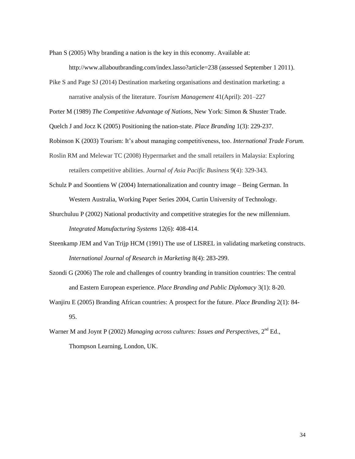Phan S (2005) Why branding a nation is the key in this economy. Available at:

http://www.allaboutbranding.com/index.lasso?article=238 (assessed September 1 2011).

Pike S and Page SJ (2014) Destination marketing organisations and destination marketing: a narrative analysis of the literature. *Tourism Management* 41(April): 201–227

Porter M (1989) *The Competitive Advantage of Nations*, New York: Simon & Shuster Trade.

Quelch J and Jocz K (2005) Positioning the nation-state. *Place Branding* 1(3): 229-237.

Robinson K (2003) Tourism: It's about managing competitiveness, too. *International Trade Forum.*

- Roslin RM and Melewar TC (2008) Hypermarket and the small retailers in Malaysia: Exploring retailers competitive abilities. *Journal of Asia Pacific Business* 9(4): 329-343.
- Schulz P and Soontiens W (2004) Internationalization and country image Being German. In Western Australia, Working Paper Series 2004, Curtin University of Technology.
- Shurchuluu P (2002) National productivity and competitive strategies for the new millennium. *Integrated Manufacturing Systems* 12(6): 408-414.
- Steenkamp JEM and Van Trijp HCM (1991) The use of LISREL in validating marketing constructs. *International Journal of Research in Marketing* 8(4): 283-299.
- Szondi G (2006) The role and challenges of country branding in transition countries: The central and Eastern European experience. *Place Branding and Public Diplomacy* 3(1): 8-20.
- Wanjiru E (2005) Branding African countries: A prospect for the future. *Place Branding* 2(1): 84- 95.
- Warner M and Joynt P (2002) Managing across cultures: Issues and Perspectives, 2<sup>nd</sup> Ed., Thompson Learning, London, UK.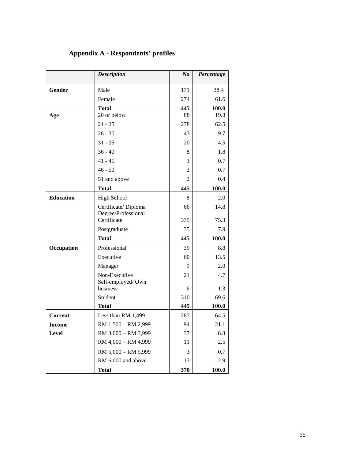|                  | <b>Description</b>                 | N <sub>o</sub> | Percentage |
|------------------|------------------------------------|----------------|------------|
| Gender           | Male                               | 171            | 38.4       |
|                  | Female                             | 274            | 61.6       |
|                  | <b>Total</b>                       | 445            | 100.0      |
| Age              | 20 or below                        | 88             | 19.8       |
|                  | $21 - 25$                          | 278            | 62.5       |
|                  | $26 - 30$                          | 43             | 9.7        |
|                  | $31 - 35$                          | 20             | 4.5        |
|                  | $36 - 40$                          | 8              | 1.8        |
|                  | $41 - 45$                          | 3              | 0.7        |
|                  | $46 - 50$                          | 3              | 0.7        |
|                  | 51 and above                       | $\overline{2}$ | 0.4        |
|                  | <b>Total</b>                       | 445            | 100.0      |
| <b>Education</b> | <b>High School</b>                 | 8              | 2.0        |
|                  | Certificate/Diploma                | 66             | 14.8       |
|                  | Degree/Professional<br>Certificate |                | 75.3       |
|                  |                                    | 335            |            |
|                  | Postgraduate                       | 35             | 7.9        |
|                  | <b>Total</b>                       | 445            | 100.0      |
| Occupation       | Professional                       | 39             | 8.8        |
|                  | Executive                          | 60             | 13.5       |
|                  | Manager                            | 9              | 2.0        |
|                  | Non-Executive<br>Self-employed/Own | 21             | 4.7        |
|                  | business                           | 6              | 1.3        |
|                  | Student                            | 310            | 69.6       |
|                  | <b>Total</b>                       | 445            | 100.0      |
| <b>Current</b>   | Less than RM 1,499                 | 287            | 64.5       |
| <b>Income</b>    | RM 1,500 - RM 2,999                | 94             | 21.1       |
| Level            | RM 3,000 - RM 3,999                | 37             | 8.3        |
|                  | RM 4,000 - RM 4,999                | 11             | 2.5        |
|                  | RM 5,000 - RM 5,999                | 3              | 0.7        |
|                  | RM 6,000 and above                 | 13             | 2.9        |
|                  | <b>Total</b>                       | 370            | 100.0      |

# **Appendix A - Respondents' profiles**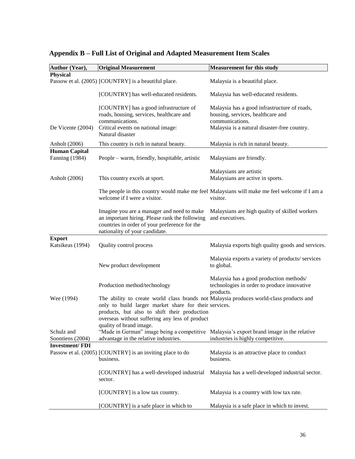| Author (Year),                    | <b>Original Measurement</b>                                                                                                                                                                                                                                                   | <b>Measurement for this study</b>                                                                                                                    |
|-----------------------------------|-------------------------------------------------------------------------------------------------------------------------------------------------------------------------------------------------------------------------------------------------------------------------------|------------------------------------------------------------------------------------------------------------------------------------------------------|
| <b>Physical</b>                   |                                                                                                                                                                                                                                                                               |                                                                                                                                                      |
|                                   | Passow et al. (2005) [COUNTRY] is a beautiful place.                                                                                                                                                                                                                          | Malaysia is a beautiful place.                                                                                                                       |
|                                   | [COUNTRY] has well-educated residents.                                                                                                                                                                                                                                        | Malaysia has well-educated residents.                                                                                                                |
| De Vicente (2004)                 | [COUNTRY] has a good infrastructure of<br>roads, housing, services, healthcare and<br>communications.<br>Critical events on national image:<br>Natural disaster                                                                                                               | Malaysia has a good infrastructure of roads,<br>housing, services, healthcare and<br>communications.<br>Malaysia is a natural disaster-free country. |
| Anholt (2006)                     | This country is rich in natural beauty.                                                                                                                                                                                                                                       | Malaysia is rich in natural beauty.                                                                                                                  |
| <b>Human Capital</b>              |                                                                                                                                                                                                                                                                               |                                                                                                                                                      |
| <b>Fanning</b> (1984)             | People – warm, friendly, hospitable, artistic                                                                                                                                                                                                                                 | Malaysians are friendly.                                                                                                                             |
| Anholt (2006)                     | This country excels at sport.                                                                                                                                                                                                                                                 | Malaysians are artistic<br>Malaysians are active in sports.                                                                                          |
|                                   | welcome if I were a visitor.                                                                                                                                                                                                                                                  | The people in this country would make me feel Malaysians will make me feel welcome if I am a<br>visitor.                                             |
|                                   | Imagine you are a manager and need to make<br>an important hiring. Please rank the following<br>countries in order of your preference for the<br>nationality of your candidate.                                                                                               | Malaysians are high quality of skilled workers<br>and executives.                                                                                    |
| <b>Export</b><br>Katsikeas (1994) | Quality control process                                                                                                                                                                                                                                                       | Malaysia exports high quality goods and services.                                                                                                    |
|                                   | New product development                                                                                                                                                                                                                                                       | Malaysia exports a variety of products/services<br>to global.                                                                                        |
|                                   | Production method/technology                                                                                                                                                                                                                                                  | Malaysia has a good production methods/<br>technologies in order to produce innovative<br>products.                                                  |
| Wee (1994)                        | The ability to create world class brands not Malaysia produces world-class products and<br>only to build larger market share for their services.<br>products, but also to shift their production<br>overseas without suffering any less of product<br>quality of brand image. |                                                                                                                                                      |
| Schulz and<br>Soontiens (2004)    | "Made in German" image being a competitive Malaysia's export brand image in the relative<br>advantage in the relative industries.                                                                                                                                             | industries is highly competitive.                                                                                                                    |
| <b>Investment/FDI</b>             |                                                                                                                                                                                                                                                                               |                                                                                                                                                      |
|                                   | Passow et al. (2005) [COUNTRY] is an inviting place to do<br>business.                                                                                                                                                                                                        | Malaysia is an attractive place to conduct<br>business.                                                                                              |
|                                   | [COUNTRY] has a well-developed industrial<br>sector.                                                                                                                                                                                                                          | Malaysia has a well-developed industrial sector.                                                                                                     |
|                                   | [COUNTRY] is a low tax country.                                                                                                                                                                                                                                               | Malaysia is a country with low tax rate.                                                                                                             |
|                                   | [COUNTRY] is a safe place in which to                                                                                                                                                                                                                                         | Malaysia is a safe place in which to invest.                                                                                                         |

# **Appendix B – Full List of Original and Adapted Measurement Item Scales**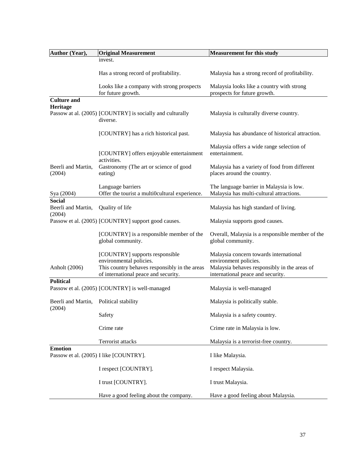| Author (Year),                                   | <b>Original Measurement</b>                                                                                                                        | <b>Measurement for this study</b>                                                                                                                    |
|--------------------------------------------------|----------------------------------------------------------------------------------------------------------------------------------------------------|------------------------------------------------------------------------------------------------------------------------------------------------------|
|                                                  | invest.                                                                                                                                            |                                                                                                                                                      |
|                                                  | Has a strong record of profitability.                                                                                                              | Malaysia has a strong record of profitability.                                                                                                       |
|                                                  | Looks like a company with strong prospects<br>for future growth.                                                                                   | Malaysia looks like a country with strong<br>prospects for future growth.                                                                            |
| <b>Culture and</b>                               |                                                                                                                                                    |                                                                                                                                                      |
| Heritage                                         | Passow at al. (2005) [COUNTRY] is socially and culturally<br>diverse.                                                                              | Malaysia is culturally diverse country.                                                                                                              |
|                                                  | [COUNTRY] has a rich historical past.                                                                                                              | Malaysia has abundance of historical attraction.                                                                                                     |
|                                                  | [COUNTRY] offers enjoyable entertainment                                                                                                           | Malaysia offers a wide range selection of<br>entertainment.                                                                                          |
| Beerli and Martin,<br>(2004)                     | activities.<br>Gastronomy (The art or science of good<br>eating)                                                                                   | Malaysia has a variety of food from different<br>places around the country.                                                                          |
| Sya (2004)                                       | Language barriers<br>Offer the tourist a multi0cultural experience.                                                                                | The language barrier in Malaysia is low.<br>Malaysia has multi-cultural attractions.                                                                 |
| <b>Social</b><br>Beerli and Martin,<br>(2004)    | Quality of life                                                                                                                                    | Malaysia has high standard of living.                                                                                                                |
|                                                  | Passow et al. (2005) [COUNTRY] support good causes.                                                                                                | Malaysia supports good causes.                                                                                                                       |
|                                                  | [COUNTRY] is a responsible member of the<br>global community.                                                                                      | Overall, Malaysia is a responsible member of the<br>global community.                                                                                |
| Anholt (2006)                                    | [COUNTRY] supports responsible<br>environmental policies.<br>This country behaves responsibly in the areas<br>of international peace and security. | Malaysia concern towards international<br>environment policies.<br>Malaysia behaves responsibly in the areas of<br>international peace and security. |
| <b>Political</b>                                 | Passow et al. (2005) [COUNTRY] is well-managed                                                                                                     | Malaysia is well-managed                                                                                                                             |
| Beerli and Martin, Political stability<br>(2004) |                                                                                                                                                    | Malaysia is politically stable.                                                                                                                      |
|                                                  | Safety                                                                                                                                             | Malaysia is a safety country.                                                                                                                        |
|                                                  | Crime rate                                                                                                                                         | Crime rate in Malaysia is low.                                                                                                                       |
|                                                  | Terrorist attacks                                                                                                                                  | Malaysia is a terrorist-free country.                                                                                                                |
| <b>Emotion</b>                                   | Passow et al. (2005) I like [COUNTRY].                                                                                                             | I like Malaysia.                                                                                                                                     |
|                                                  | I respect [COUNTRY].                                                                                                                               | I respect Malaysia.                                                                                                                                  |
|                                                  | I trust [COUNTRY].                                                                                                                                 | I trust Malaysia.                                                                                                                                    |
|                                                  | Have a good feeling about the company.                                                                                                             | Have a good feeling about Malaysia.                                                                                                                  |